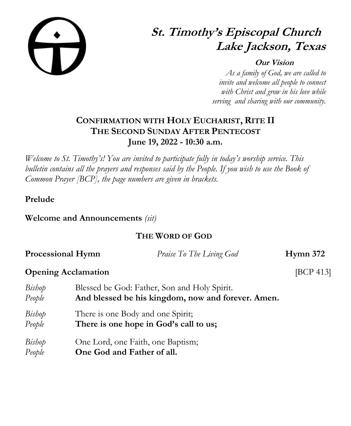

## **St. Timothy's Episcopal Church Lake Jackson, Texas**

#### **Our Vision**

 *As a family of God, we are called to invite and welcome all people to connect with Christ and grow in his love while serving and sharing with our community.*

#### **CONFIRMATION WITH HOLY EUCHARIST, RITE II THE SECOND SUNDAY AFTER PENTECOST June 19, 2022 - 10:30 a.m.**

*Welcome to St. Timothy's! You are invited to participate fully in today's worship service. This bulletin contains all the prayers and responses said by the People. If you wish to use the Book of Common Prayer [BCP], the page numbers are given in brackets.*

#### **Prelude**

#### **Welcome and Announcements** *(sit)*

#### **THE WORD OF GOD**

| <b>Processional Hymn</b> |                                                                             | Praise To The Living God                           | Hymn 372  |
|--------------------------|-----------------------------------------------------------------------------|----------------------------------------------------|-----------|
|                          | <b>Opening Acclamation</b>                                                  |                                                    | [BCP 413] |
| <b>Bishop</b><br>People  | Blessed be God: Father, Son and Holy Spirit.                                | And blessed be his kingdom, now and forever. Amen. |           |
| <b>Bishop</b><br>People  | There is one Body and one Spirit;<br>There is one hope in God's call to us; |                                                    |           |
| <b>Bishop</b><br>People  | One Lord, one Faith, one Baptism;<br>One God and Father of all.             |                                                    |           |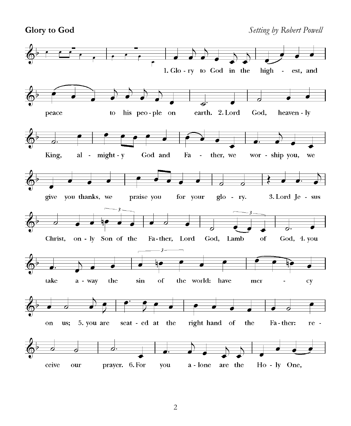**Glory to God** *Setting by Robert Powell* 

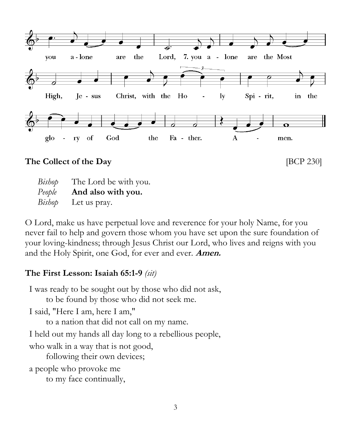

#### **The Collect of the Day** [BCP 230]

*Bishop* The Lord be with you. *People* **And also with you.** *Bishop* Let us pray.

O Lord, make us have perpetual love and reverence for your holy Name, for you never fail to help and govern those whom you have set upon the sure foundation of your loving-kindness; through Jesus Christ our Lord, who lives and reigns with you and the Holy Spirit, one God, for ever and ever. **Amen.**

#### **The First Lesson: Isaiah 65:1-9** *(sit)*

I was ready to be sought out by those who did not ask, to be found by those who did not seek me.

I said, "Here I am, here I am,"

to a nation that did not call on my name.

I held out my hands all day long to a rebellious people,

who walk in a way that is not good,

following their own devices;

a people who provoke me

to my face continually,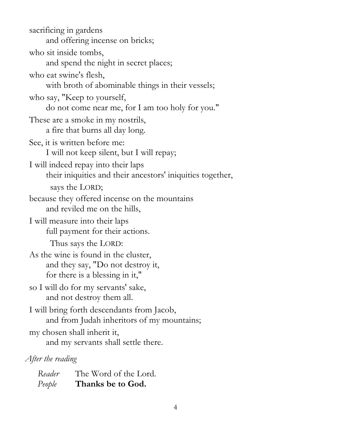sacrificing in gardens and offering incense on bricks; who sit inside tombs, and spend the night in secret places; who eat swine's flesh, with broth of abominable things in their vessels; who say, "Keep to yourself, do not come near me, for I am too holy for you." These are a smoke in my nostrils, a fire that burns all day long. See, it is written before me: I will not keep silent, but I will repay; I will indeed repay into their laps their iniquities and their ancestors' iniquities together, says the LORD; because they offered incense on the mountains and reviled me on the hills, I will measure into their laps full payment for their actions. Thus says the LORD: As the wine is found in the cluster, and they say, "Do not destroy it, for there is a blessing in it," so I will do for my servants' sake, and not destroy them all. I will bring forth descendants from Jacob, and from Judah inheritors of my mountains; my chosen shall inherit it, and my servants shall settle there. *After the reading*

*Reader* The Word of the Lord. *People* **Thanks be to God.**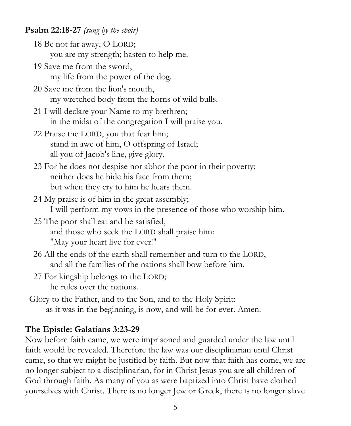**Psalm 22:18-27** *(sung by the choir)*

18 Be not far away, O LORD; you are my strength; hasten to help me.

- 19 Save me from the sword, my life from the power of the dog.
- 20 Save me from the lion's mouth, my wretched body from the horns of wild bulls.
- 21 I will declare your Name to my brethren; in the midst of the congregation I will praise you.
- 22 Praise the LORD, you that fear him; stand in awe of him, O offspring of Israel; all you of Jacob's line, give glory.
- 23 For he does not despise nor abhor the poor in their poverty; neither does he hide his face from them; but when they cry to him he hears them.
- 24 My praise is of him in the great assembly; I will perform my vows in the presence of those who worship him.
- 25 The poor shall eat and be satisfied, and those who seek the LORD shall praise him: "May your heart live for ever!"
- 26 All the ends of the earth shall remember and turn to the LORD, and all the families of the nations shall bow before him.
- 27 For kingship belongs to the LORD; he rules over the nations.
- Glory to the Father, and to the Son, and to the Holy Spirit: as it was in the beginning, is now, and will be for ever. Amen.

#### **The Epistle: Galatians 3:23-29**

Now before faith came, we were imprisoned and guarded under the law until faith would be revealed. Therefore the law was our disciplinarian until Christ came, so that we might be justified by faith. But now that faith has come, we are no longer subject to a disciplinarian, for in Christ Jesus you are all children of God through faith. As many of you as were baptized into Christ have clothed yourselves with Christ. There is no longer Jew or Greek, there is no longer slave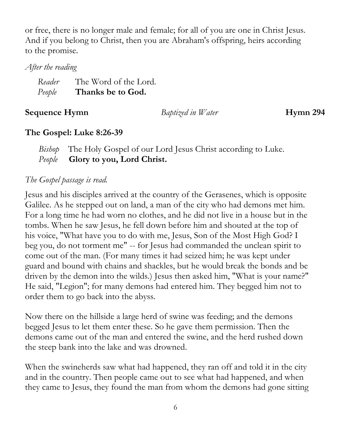or free, there is no longer male and female; for all of you are one in Christ Jesus. And if you belong to Christ, then you are Abraham's offspring, heirs according to the promise.

#### *After the reading*

| Reader | The Word of the Lord. |
|--------|-----------------------|
| People | Thanks be to God.     |

#### **Sequence Hymn** *Baptized in Water* **Hymn 294**

#### **The Gospel: Luke 8:26-39**

*Bishop* The Holy Gospel of our Lord Jesus Christ according to Luke.  *People* **Glory to you, Lord Christ.**

#### *The Gospel passage is read.*

Jesus and his disciples arrived at the country of the Gerasenes, which is opposite Galilee. As he stepped out on land, a man of the city who had demons met him. For a long time he had worn no clothes, and he did not live in a house but in the tombs. When he saw Jesus, he fell down before him and shouted at the top of his voice, "What have you to do with me, Jesus, Son of the Most High God? I beg you, do not torment me" -- for Jesus had commanded the unclean spirit to come out of the man. (For many times it had seized him; he was kept under guard and bound with chains and shackles, but he would break the bonds and be driven by the demon into the wilds.) Jesus then asked him, "What is your name?" He said, "Legion"; for many demons had entered him. They begged him not to order them to go back into the abyss.

Now there on the hillside a large herd of swine was feeding; and the demons begged Jesus to let them enter these. So he gave them permission. Then the demons came out of the man and entered the swine, and the herd rushed down the steep bank into the lake and was drowned.

When the swineherds saw what had happened, they ran off and told it in the city and in the country. Then people came out to see what had happened, and when they came to Jesus, they found the man from whom the demons had gone sitting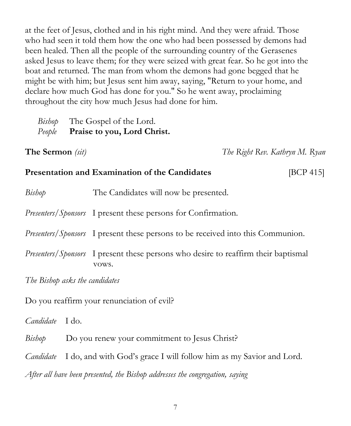at the feet of Jesus, clothed and in his right mind. And they were afraid. Those who had seen it told them how the one who had been possessed by demons had been healed. Then all the people of the surrounding country of the Gerasenes asked Jesus to leave them; for they were seized with great fear. So he got into the boat and returned. The man from whom the demons had gone begged that he might be with him; but Jesus sent him away, saying, "Return to your home, and declare how much God has done for you." So he went away, proclaiming throughout the city how much Jesus had done for him.

| Bishop | The Gospel of the Lord.     |
|--------|-----------------------------|
| People | Praise to you, Lord Christ. |

**The Sermon** *(sit)**The Right Rev. Kathryn M. Ryan*

#### **Presentation and Examination of the Candidates** [BCP 415]

| Bishop          | The Candidates will now be presented.                                                       |  |
|-----------------|---------------------------------------------------------------------------------------------|--|
|                 | Presenters/Sponsors I present these persons for Confirmation.                               |  |
|                 | Presenters/Sponsors I present these persons to be received into this Communion.             |  |
|                 | Presenters/Sponsors I present these persons who desire to reaffirm their baptismal<br>vows. |  |
|                 | The Bishop asks the candidates                                                              |  |
|                 | Do you reaffirm your renunciation of evil?                                                  |  |
| Candidate I do. |                                                                                             |  |
| Bishop          | Do you renew your commitment to Jesus Christ?                                               |  |
| Candidate       | I do, and with God's grace I will follow him as my Savior and Lord.                         |  |

*After all have been presented, the Bishop addresses the congregation, saying*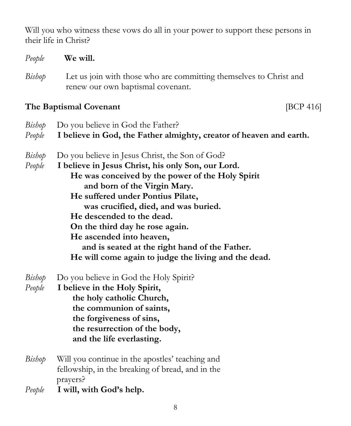Will you who witness these vows do all in your power to support these persons in their life in Christ?

| People                  | We will.                                                                                                 |           |
|-------------------------|----------------------------------------------------------------------------------------------------------|-----------|
| Bishop                  | Let us join with those who are committing themselves to Christ and<br>renew our own baptismal covenant.  |           |
|                         | The Baptismal Covenant                                                                                   | [BCP 416] |
| <b>Bishop</b><br>People | Do you believe in God the Father?<br>I believe in God, the Father almighty, creator of heaven and earth. |           |

- *Bishop* Do you believe in Jesus Christ, the Son of God?
- *People* **I believe in Jesus Christ, his only Son, our Lord. He was conceived by the power of the Holy Spirit and born of the Virgin Mary.**
	- **He suffered under Pontius Pilate, was crucified, died, and was buried.**
		- **He descended to the dead.**

 **On the third day he rose again.**

 **He ascended into heaven,**

**and is seated at the right hand of the Father.**

 **He will come again to judge the living and the dead.**

- *Bishop* Do you believe in God the Holy Spirit? *People* **I believe in the Holy Spirit, the holy catholic Church, the communion of saints, the forgiveness of sins, the resurrection of the body, and the life everlasting.**
- *Bishop* Will you continue in the apostles' teaching and fellowship, in the breaking of bread, and in the prayers?
- *People* **I will, with God's help.**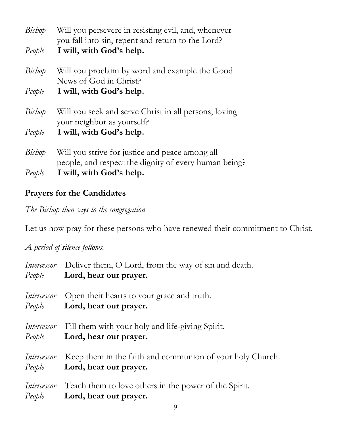| <b>Bishop</b> | Will you persevere in resisting evil, and, whenever<br>you fall into sin, repent and return to the Lord? |
|---------------|----------------------------------------------------------------------------------------------------------|
| People        | I will, with God's help.                                                                                 |
| <b>Bishop</b> | Will you proclaim by word and example the Good<br>News of God in Christ?                                 |
| People        | I will, with God's help.                                                                                 |
| <b>Bishop</b> | Will you seek and serve Christ in all persons, loving<br>your neighbor as yourself?                      |
| People        | I will, with God's help.                                                                                 |
| <b>Bishop</b> | Will you strive for justice and peace among all<br>people, and respect the dignity of every human being? |
| People        | I will, with God's help.                                                                                 |

#### **Prayers for the Candidates**

*The Bishop then says to the congregation*

Let us now pray for these persons who have renewed their commitment to Christ.

*A period of silence follows.*

| People                | Intercessor Deliver them, O Lord, from the way of sin and death.<br>Lord, hear our prayer.         |  |
|-----------------------|----------------------------------------------------------------------------------------------------|--|
| People                | Intercessor Open their hearts to your grace and truth.<br>Lord, hear our prayer.                   |  |
| People                | <i>Intercessor</i> Fill them with your holy and life-giving Spirit.<br>Lord, hear our prayer.      |  |
| Intercessor<br>People | Keep them in the faith and communion of your holy Church.<br>Lord, hear our prayer.                |  |
| People                | <i>Intercessor</i> Teach them to love others in the power of the Spirit.<br>Lord, hear our prayer. |  |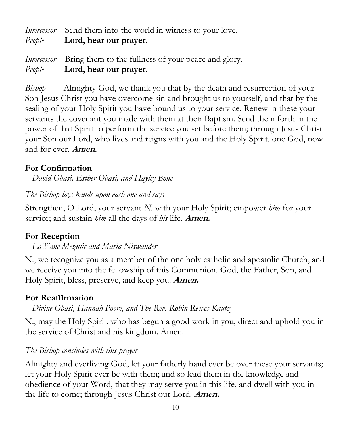*Intercessor* Send them into the world in witness to your love. *People* **Lord, hear our prayer.**

*Intercessor* Bring them to the fullness of your peace and glory. *People* **Lord, hear our prayer.**

*Bishop* Almighty God, we thank you that by the death and resurrection of your Son Jesus Christ you have overcome sin and brought us to yourself, and that by the sealing of your Holy Spirit you have bound us to your service. Renew in these your servants the covenant you made with them at their Baptism. Send them forth in the power of that Spirit to perform the service you set before them; through Jesus Christ your Son our Lord, who lives and reigns with you and the Holy Spirit, one God, now and for ever. **Amen.**

#### **For Confirmation**

*- David Obasi, Esther Obasi, and Hayley Bone*

#### *The Bishop lays hands upon each one and says*

Strengthen, O Lord, your servant *N.* with your Holy Spirit; empower *him* for your service; and sustain *him* all the days of *his* life. **Amen.**

#### **For Reception**

*- LaWane Mezulic and Maria Niswander*

N., we recognize you as a member of the one holy catholic and apostolic Church, and we receive you into the fellowship of this Communion. God, the Father, Son, and Holy Spirit, bless, preserve, and keep you. **Amen.**

### **For Reaffirmation**

*- Divine Obasi, Hannah Poore, and The Rev. Robin Reeves-Kautz*

N., may the Holy Spirit, who has begun a good work in you, direct and uphold you in the service of Christ and his kingdom. Amen.

#### *The Bishop concludes with this prayer*

Almighty and everliving God, let your fatherly hand ever be over these your servants; let your Holy Spirit ever be with them; and so lead them in the knowledge and obedience of your Word, that they may serve you in this life, and dwell with you in the life to come; through Jesus Christ our Lord. **Amen.**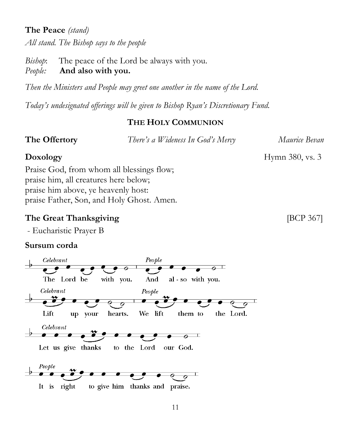**The Peace** *(stand) All stand. The Bishop says to the people*

*Bishop*: The peace of the Lord be always with you.

*People:* **And also with you.**

*Then the Ministers and People may greet one another in the name of the Lord.*

*Today's undesignated offerings will be given to Bishop Ryan's Discretionary Fund.*

#### **THE HOLY COMMUNION**

**The Offertory** *There's a Wideness In God's Mercy**Maurice Bevan*

**Doxology** Hymn 380, vs. 3

Praise God, from whom all blessings flow; praise him, all creatures here below; praise him above, ye heavenly host: praise Father, Son, and Holy Ghost. Amen.

#### **The Great Thanksgiving**  *CON CON CON CON CON CON CON CON CON CON CON CON CON*

- Eucharistic Prayer B

#### **Sursum corda**

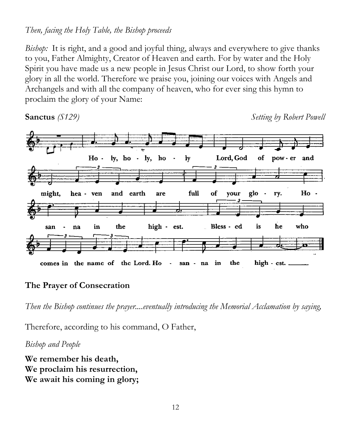#### *Then, facing the Holy Table, the Bishop proceeds*

*Bishop*: It is right, and a good and joyful thing, always and everywhere to give thanks to you, Father Almighty, Creator of Heaven and earth. For by water and the Holy Spirit you have made us a new people in Jesus Christ our Lord, to show forth your glory in all the world. Therefore we praise you, joining our voices with Angels and Archangels and with all the company of heaven, who for ever sing this hymn to proclaim the glory of your Name:

**Sanctus** (S129) Setting by Robert Powell



#### **The Prayer of Consecration**

*Then the Bishop continues the prayer....eventually introducing the Memorial Acclamation by saying,* 

Therefore, according to his command, O Father,

*Bishop and People*

**We remember his death, We proclaim his resurrection, We await his coming in glory;**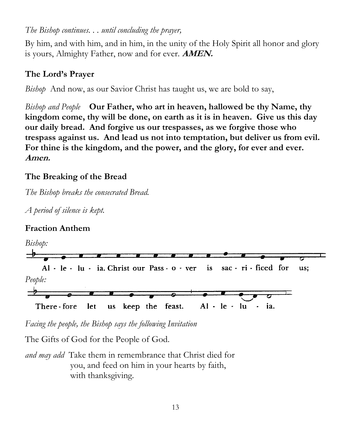#### *The Bishop continues. . . until concluding the prayer,*

By him, and with him, and in him, in the unity of the Holy Spirit all honor and glory is yours, Almighty Father, now and for ever. **AMEN.**

#### **The Lord's Prayer**

*Bishop* And now, as our Savior Christ has taught us, we are bold to say,

*Bishop and People* **Our Father, who art in heaven, hallowed be thy Name, thy kingdom come, thy will be done, on earth as it is in heaven. Give us this day our daily bread. And forgive us our trespasses, as we forgive those who trespass against us. And lead us not into temptation, but deliver us from evil. For thine is the kingdom, and the power, and the glory, for ever and ever. Amen.**

#### **The Breaking of the Bread**

*The Bishop breaks the consecrated Bread.*

*A period of silence is kept.*

#### **Fraction Anthem**



*Facing the people, the Bishop says the following Invitation*

The Gifts of God for the People of God.

*and may add* Take them in remembrance that Christ died for you, and feed on him in your hearts by faith, with thanksgiving.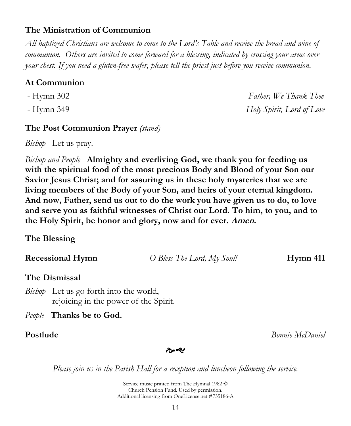14

#### **The Ministration of Communion**

*All baptized Christians are welcome to come to the Lord's Table and receive the bread and wine of communion. Others are invited to come forward for a blessing, indicated by crossing your arms over your chest. If you need a gluten-free wafer, please tell the priest just before you receive communion.*

## **At Communion**

- 
- 

#### **The Post Communion Prayer** *(stand)*

*Bishop* Let us pray.

*Bishop and People* **Almighty and everliving God, we thank you for feeding us with the spiritual food of the most precious Body and Blood of your Son our Savior Jesus Christ; and for assuring us in these holy mysteries that we are living members of the Body of your Son, and heirs of your eternal kingdom. And now, Father, send us out to do the work you have given us to do, to love and serve you as faithful witnesses of Christ our Lord. To him, to you, and to the Holy Spirit, be honor and glory, now and for ever. Amen.**

#### **The Blessing**

**Recessional Hymn** *O Bless The Lord, My Soul!* **Hymn 411**

**The Dismissal**

*Bishop* Let us go forth into the world, rejoicing in the power of the Spirit.

*People* **Thanks be to God.**

**Postlude** *Bonnie McDaniel*

#### - Hymn 302 *Father, We Thank Thee* - Hymn 349 *Holy Spirit, Lord of Love*

بهمج

*Please join us in the Parish Hall for a reception and luncheon following the service.*

Service music printed from The Hymnal 1982 © Church Pension Fund. Used by permission. Additional licensing from OneLicense.net #735186-A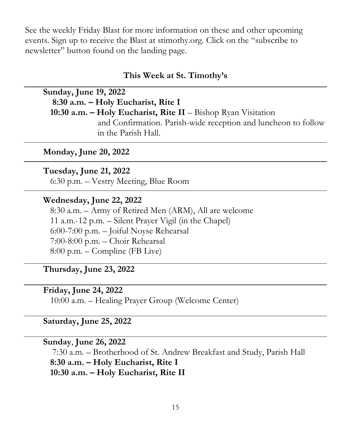See the weekly Friday Blast for more information on these and other upcoming events. Sign up to receive the Blast at stimothy.org. Click on the "subscribe to newsletter" button found on the landing page.

#### **This Week at St. Timothy's**

 **Sunday, June 19, 2022 8:30 a.m. – Holy Eucharist, Rite I 10:30 a.m. – Holy Eucharist, Rite II** – Bishop Ryan Visitation and Confirmation. Parish-wide reception and luncheon to follow in the Parish Hall.

**Monday, June 20, 2022**

 **Tuesday, June 21, 2022** 6:30 p.m. – Vestry Meeting, Blue Room

#### **Wednesday, June 22, 2022**

8:30 a.m. – Army of Retired Men (ARM), All are welcome 11 a.m.-12 p.m. – Silent Prayer Vigil (in the Chapel) 6:00-7:00 p.m. – Joiful Noyse Rehearsal 7:00-8:00 p.m. – Choir Rehearsal 8:00 p.m. – Compline (FB Live)

 **Thursday, June 23, 2022**

#### **Friday, June 24, 2022**

10:00 a.m. – Healing Prayer Group (Welcome Center)

 **Saturday, June 25, 2022**

#### **Sunday**, **June 26, 2022**

7:30 a.m. – Brotherhood of St. Andrew Breakfast and Study, Parish Hall **8:30 a.m. – Holy Eucharist, Rite I 10:30 a.m. – Holy Eucharist, Rite II**